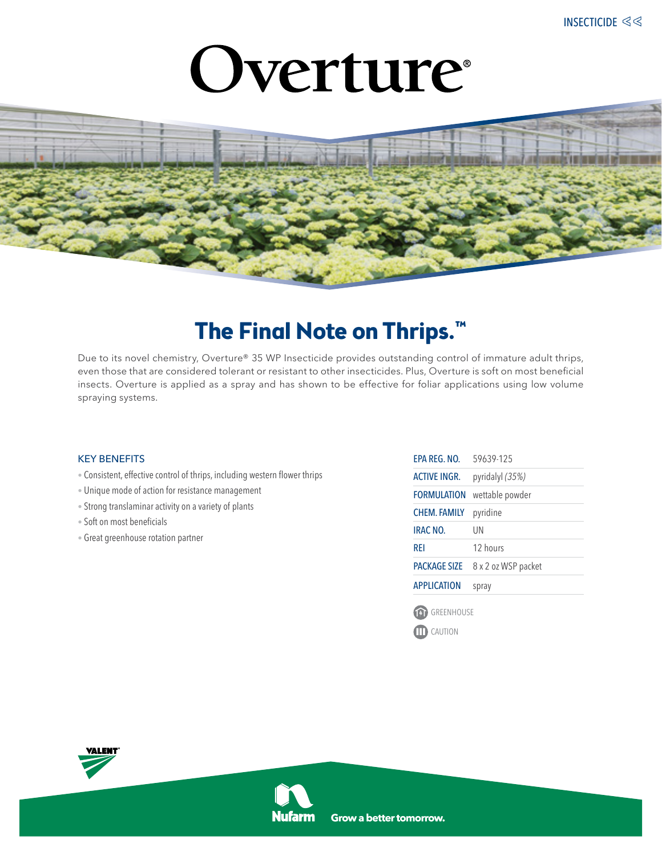# Overture



### **The Final Note on Thrips.™**

Due to its novel chemistry, Overture® 35 WP Insecticide provides outstanding control of immature adult thrips, even those that are considered tolerant or resistant to other insecticides. Plus, Overture is soft on most beneficial insects. Overture is applied as a spray and has shown to be effective for foliar applications using low volume spraying systems.

### KEY BENEFITS

- Consistent, effective control of thrips, including western flower thrips
- Unique mode of action for resistance management
- Strong translaminar activity on a variety of plants
- Soft on most beneficials
- Great greenhouse rotation partner

| FPA RFG. NO.        | 59639-125           |
|---------------------|---------------------|
| <b>ACTIVE INGR.</b> | pyridalyl (35%)     |
| FORMUI ATION        | wettable powder     |
| <b>CHEM. FAMILY</b> | pyridine            |
| IRAC NO.            | UN                  |
| RFI                 | 12 hours            |
| <b>PACKAGE SIZE</b> | 8 x 2 oz WSP packet |
| ΑΡΡΗ ΙΣΑΤΙΟΝ        | spray               |
|                     |                     |